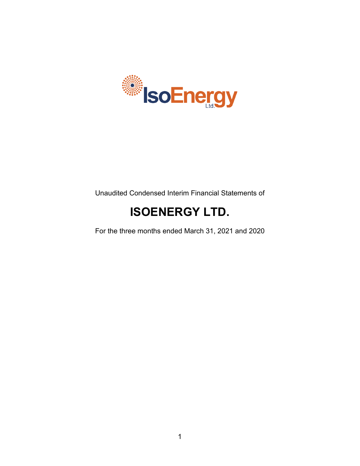

Unaudited Condensed Interim Financial Statements of

# **ISOENERGY LTD.**

For the three months ended March 31, 2021 and 2020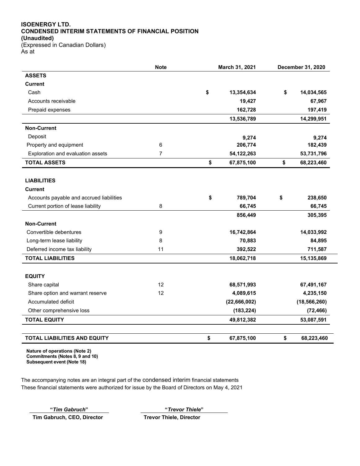## **ISOENERGY LTD. CONDENSED INTERIM STATEMENTS OF FINANCIAL POSITION (Unaudited)**

(Expressed in Canadian Dollars) As at

|                                          | March 31, 2021<br><b>Note</b> |    | December 31, 2020 |    |                |
|------------------------------------------|-------------------------------|----|-------------------|----|----------------|
| <b>ASSETS</b>                            |                               |    |                   |    |                |
| <b>Current</b>                           |                               |    |                   |    |                |
| Cash                                     |                               | \$ | 13,354,634        | \$ | 14,034,565     |
| Accounts receivable                      |                               |    | 19,427            |    | 67,967         |
| Prepaid expenses                         |                               |    | 162,728           |    | 197,419        |
|                                          |                               |    | 13,536,789        |    | 14,299,951     |
| <b>Non-Current</b>                       |                               |    |                   |    |                |
| Deposit                                  |                               |    | 9,274             |    | 9,274          |
| Property and equipment                   | 6                             |    | 206,774           |    | 182,439        |
| Exploration and evaluation assets        | 7                             |    | 54,122,263        |    | 53,731,796     |
| <b>TOTAL ASSETS</b>                      |                               | \$ | 67,875,100        | \$ | 68,223,460     |
|                                          |                               |    |                   |    |                |
| <b>LIABILITIES</b>                       |                               |    |                   |    |                |
| <b>Current</b>                           |                               |    |                   |    |                |
| Accounts payable and accrued liabilities |                               | \$ | 789,704           | \$ | 238,650        |
| Current portion of lease liability       | 8                             |    | 66,745            |    | 66,745         |
|                                          |                               |    | 856,449           |    | 305,395        |
| <b>Non-Current</b>                       |                               |    |                   |    |                |
| Convertible debentures                   | 9                             |    | 16,742,864        |    | 14,033,992     |
| Long-term lease liability                | 8                             |    | 70,883            |    | 84,895         |
| Deferred income tax liability            | 11                            |    | 392,522           |    | 711,587        |
| <b>TOTAL LIABILITIES</b>                 |                               |    | 18,062,718        |    | 15,135,869     |
|                                          |                               |    |                   |    |                |
| <b>EQUITY</b>                            |                               |    |                   |    |                |
| Share capital                            | 12                            |    | 68,571,993        |    | 67,491,167     |
| Share option and warrant reserve         | 12                            |    | 4,089,615         |    | 4,235,150      |
| Accumulated deficit                      |                               |    | (22,666,002)      |    | (18, 566, 260) |
| Other comprehensive loss                 |                               |    | (183, 224)        |    | (72, 466)      |
| <b>TOTAL EQUITY</b>                      |                               |    | 49,812,382        |    | 53,087,591     |
|                                          |                               |    |                   |    |                |
| <b>TOTAL LIABILITIES AND EQUITY</b>      |                               | \$ | 67,875,100        | \$ | 68,223,460     |

**Nature of operations (Note 2) Commitments (Notes 8, 9 and 10) Subsequent event (Note 18)**

The accompanying notes are an integral part of the condensed interim financial statements These financial statements were authorized for issue by the Board of Directors on May 4, 2021

**Tim Gabruch, CEO, Director Trevor Thiele, Director**

**"***Tim Gabruch***" "***Trevor Thiele***"**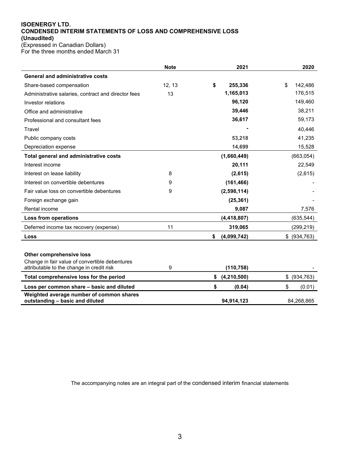#### **ISOENERGY LTD. CONDENSED INTERIM STATEMENTS OF LOSS AND COMPREHENSIVE LOSS (Unaudited)** (Expressed in Canadian Dollars)

For the three months ended March 31

|                                                                             | <b>Note</b> | 2021                | 2020             |
|-----------------------------------------------------------------------------|-------------|---------------------|------------------|
| <b>General and administrative costs</b>                                     |             |                     |                  |
| Share-based compensation                                                    | 12, 13      | \$<br>255,336       | \$<br>142,486    |
| Administrative salaries, contract and director fees                         | 13          | 1,165,013           | 176,515          |
| Investor relations                                                          |             | 96,120              | 149,460          |
| Office and administrative                                                   |             | 39,446              | 38,211           |
| Professional and consultant fees                                            |             | 36,617              | 59,173           |
| Travel                                                                      |             |                     | 40,446           |
| Public company costs                                                        |             | 53,218              | 41,235           |
| Depreciation expense                                                        |             | 14,699              | 15,528           |
| Total general and administrative costs                                      |             | (1,660,449)         | (663, 054)       |
| Interest income                                                             |             | 20,111              | 22,549           |
| Interest on lease liability                                                 | 8           | (2,615)             | (2,615)          |
| Interest on convertible debentures                                          | 9           | (161, 466)          |                  |
| Fair value loss on convertible debentures                                   | 9           | (2,598,114)         |                  |
| Foreign exchange gain                                                       |             | (25, 361)           |                  |
| Rental income                                                               |             | 9,087               | 7,576            |
| <b>Loss from operations</b>                                                 |             | (4, 418, 807)       | (635, 544)       |
| Deferred income tax recovery (expense)                                      | 11          | 319,065             | (299, 219)       |
| Loss                                                                        |             | \$<br>(4,099,742)   | \$ (934, 763)    |
|                                                                             |             |                     |                  |
| Other comprehensive loss                                                    |             |                     |                  |
| Change in fair value of convertible debentures                              |             |                     |                  |
| attributable to the change in credit risk                                   | 9           | (110, 758)          |                  |
| Total comprehensive loss for the period                                     |             | \$<br>(4, 210, 500) | \$<br>(934, 763) |
| Loss per common share - basic and diluted                                   |             | \$<br>(0.04)        | \$<br>(0.01)     |
| Weighted average number of common shares<br>outstanding - basic and diluted |             | 94,914,123          | 84,268,865       |

The accompanying notes are an integral part of the condensed interim financial statements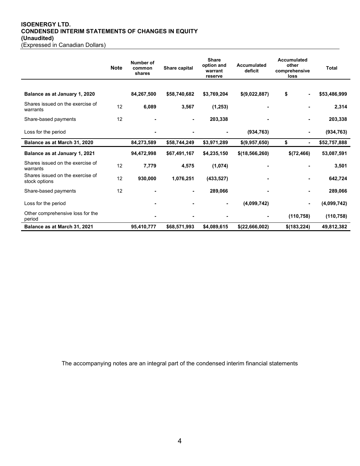## **ISOENERGY LTD. CONDENSED INTERIM STATEMENTS OF CHANGES IN EQUITY (Unaudited)**

| (Expressed in Canadian Dollars) |  |
|---------------------------------|--|
|---------------------------------|--|

|                                                   | <b>Note</b> | Number of<br>common<br>shares | Share capital | <b>Share</b><br>option and<br>warrant<br>reserve | <b>Accumulated</b><br>deficit | Accumulated<br>other<br>comprehensive<br>loss | Total        |
|---------------------------------------------------|-------------|-------------------------------|---------------|--------------------------------------------------|-------------------------------|-----------------------------------------------|--------------|
|                                                   |             |                               |               |                                                  |                               |                                               |              |
| Balance as at January 1, 2020                     |             | 84,267,500                    | \$58,740,682  | \$3,769,204                                      | \$(9,022,887)                 | \$                                            | \$53,486,999 |
| Shares issued on the exercise of<br>warrants      | 12          | 6,089                         | 3,567         | (1,253)                                          |                               |                                               | 2,314        |
| Share-based payments                              | 12          |                               |               | 203,338                                          |                               | ۰                                             | 203,338      |
| Loss for the period                               |             |                               |               |                                                  | (934, 763)                    |                                               | (934, 763)   |
| Balance as at March 31, 2020                      |             | 84,273,589                    | \$58,744,249  | \$3,971,289                                      | \$(9,957,650)                 | \$                                            | \$52,757,888 |
| Balance as at January 1, 2021                     |             | 94,472,998                    | \$67,491,167  | \$4,235,150                                      | \$(18, 566, 260)              | \$(72,466)                                    | 53,087,591   |
| Shares issued on the exercise of<br>warrants      | 12          | 7,779                         | 4,575         | (1,074)                                          |                               |                                               | 3,501        |
| Shares issued on the exercise of<br>stock options | 12          | 930,000                       | 1,076,251     | (433, 527)                                       |                               | ٠                                             | 642,724      |
| Share-based payments                              | 12          |                               |               | 289,066                                          |                               |                                               | 289,066      |
| Loss for the period                               |             |                               |               |                                                  | (4,099,742)                   |                                               | (4,099,742)  |
| Other comprehensive loss for the<br>period        |             |                               |               |                                                  |                               | (110, 758)                                    | (110, 758)   |
| Balance as at March 31, 2021                      |             | 95,410,777                    | \$68,571,993  | \$4,089,615                                      | \$(22,666,002)                | \$(183,224)                                   | 49,812,382   |

The accompanying notes are an integral part of the condensed interim financial statements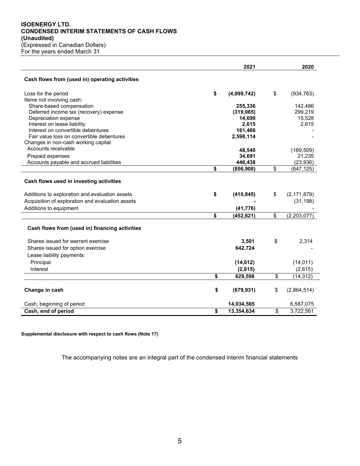## **ISOENERGY LTD. CONDENSED INTERIM STATEMENTS OF CASH FLOWS (Unaudited)** (Expressed in Canadian Dollars) For the years ended March 31

|                                                                                                                                                                         | 2021                          | 2020                             |
|-------------------------------------------------------------------------------------------------------------------------------------------------------------------------|-------------------------------|----------------------------------|
| Cash flows from (used in) operating activities                                                                                                                          |                               |                                  |
| Loss for the period                                                                                                                                                     | \$<br>(4,099,742)             | \$<br>(934, 763)                 |
| Items not involving cash:                                                                                                                                               |                               |                                  |
| Share-based compensation                                                                                                                                                | 255,336                       | 142,486                          |
| Deferred income tax (recovery) expense<br>Depreciation expense                                                                                                          | (319,065)<br>14,699           | 299,219<br>15,528                |
| Interest on lease liability                                                                                                                                             | 2,615                         | 2,615                            |
| Interest on convertible debentures                                                                                                                                      | 161,466                       |                                  |
| Fair value loss on convertible debentures                                                                                                                               | 2,598,114                     |                                  |
| Changes in non-cash working capital                                                                                                                                     |                               |                                  |
| Accounts receivable                                                                                                                                                     | 48,540                        | (169, 509)                       |
| Prepaid expenses                                                                                                                                                        | 34,691                        | 21,235                           |
| Accounts payable and accrued liabilities                                                                                                                                | 446,438                       | (23, 936)                        |
|                                                                                                                                                                         | \$<br>(856, 908)              | \$<br>(647, 125)                 |
| Cash flows used in investing activities<br>Additions to exploration and evaluation assets<br>Acquisition of exploration and evaluation assets<br>Additions to equipment | \$<br>(410, 845)<br>(41, 776) | \$<br>(2, 171, 879)<br>(31, 198) |
|                                                                                                                                                                         | \$<br>(452, 621)              | \$<br>$\overline{(2,203,077)}$   |
| Cash flows from (used in) financing activities                                                                                                                          |                               |                                  |
| Shares issued for warrant exercise                                                                                                                                      | 3,501                         | \$<br>2,314                      |
| Shares issued for option exercise                                                                                                                                       | 642,724                       |                                  |
| Lease liability payments:                                                                                                                                               |                               |                                  |
| Principal                                                                                                                                                               | (14, 012)                     | (14, 011)                        |
| Interest                                                                                                                                                                | (2,615)                       | (2,615)                          |
|                                                                                                                                                                         | \$<br>629,598                 | \$<br>(14, 312)                  |
| Change in cash                                                                                                                                                          | \$<br>(679, 931)              | \$<br>(2,864,514)                |
| Cash, beginning of period                                                                                                                                               | 14,034,565                    | 6,587,075                        |
| Cash, end of period                                                                                                                                                     | \$<br>13,354,634              | \$<br>3,722,561                  |

**Supplemental disclosure with respect to cash flows (Note 17)**

The accompanying notes are an integral part of the condensed interim financial statements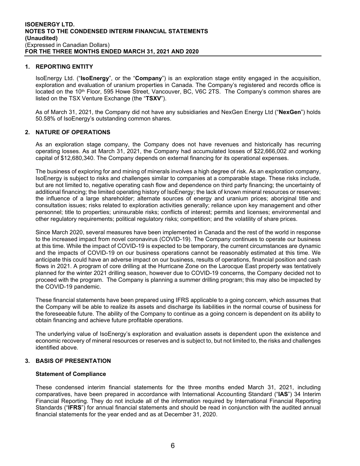## **1. REPORTING ENTITY**

IsoEnergy Ltd. ("**IsoEnergy**", or the "**Company**") is an exploration stage entity engaged in the acquisition, exploration and evaluation of uranium properties in Canada. The Company's registered and records office is located on the 10<sup>th</sup> Floor, 595 Howe Street, Vancouver, BC, V6C 2TS. The Company's common shares are listed on the TSX Venture Exchange (the "**TSXV**").

As of March 31, 2021, the Company did not have any subsidiaries and NexGen Energy Ltd ("**NexGen**") holds 50.58% of IsoEnergy's outstanding common shares.

## **2. NATURE OF OPERATIONS**

As an exploration stage company, the Company does not have revenues and historically has recurring operating losses. As at March 31, 2021, the Company had accumulated losses of \$22,666,002 and working capital of \$12,680,340. The Company depends on external financing for its operational expenses.

The business of exploring for and mining of minerals involves a high degree of risk. As an exploration company, IsoEnergy is subject to risks and challenges similar to companies at a comparable stage. These risks include, but are not limited to, negative operating cash flow and dependence on third party financing; the uncertainty of additional financing; the limited operating history of IsoEnergy; the lack of known mineral resources or reserves; the influence of a large shareholder; alternate sources of energy and uranium prices; aboriginal title and consultation issues; risks related to exploration activities generally; reliance upon key management and other personnel; title to properties; uninsurable risks; conflicts of interest; permits and licenses; environmental and other regulatory requirements; political regulatory risks; competition; and the volatility of share prices.

Since March 2020, several measures have been implemented in Canada and the rest of the world in response to the increased impact from novel coronavirus (COVID-19). The Company continues to operate our business at this time. While the impact of COVID-19 is expected to be temporary, the current circumstances are dynamic and the impacts of COVID-19 on our business operations cannot be reasonably estimated at this time. We anticipate this could have an adverse impact on our business, results of operations, financial position and cash flows in 2021. A program of core drilling at the Hurricane Zone on the Larocque East property was tentatively planned for the winter 2021 drilling season, however due to COVID-19 concerns, the Company decided not to proceed with the program. The Company is planning a summer drilling program; this may also be impacted by the COVID-19 pandemic.

These financial statements have been prepared using IFRS applicable to a going concern, which assumes that the Company will be able to realize its assets and discharge its liabilities in the normal course of business for the foreseeable future. The ability of the Company to continue as a going concern is dependent on its ability to obtain financing and achieve future profitable operations.

The underlying value of IsoEnergy's exploration and evaluation assets is dependent upon the existence and economic recovery of mineral resources or reserves and is subject to, but not limited to, the risks and challenges identified above.

## **3. BASIS OF PRESENTATION**

#### **Statement of Compliance**

These condensed interim financial statements for the three months ended March 31, 2021, including comparatives, have been prepared in accordance with International Accounting Standard ("**IAS**") 34 Interim Financial Reporting. They do not include all of the information required by International Financial Reporting Standards ("**IFRS**") for annual financial statements and should be read in conjunction with the audited annual financial statements for the year ended and as at December 31, 2020.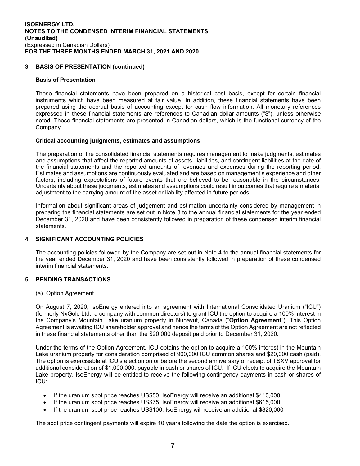## **3. BASIS OF PRESENTATION (continued)**

#### **Basis of Presentation**

These financial statements have been prepared on a historical cost basis, except for certain financial instruments which have been measured at fair value. In addition, these financial statements have been prepared using the accrual basis of accounting except for cash flow information. All monetary references expressed in these financial statements are references to Canadian dollar amounts ("\$"), unless otherwise noted. These financial statements are presented in Canadian dollars, which is the functional currency of the Company.

#### **Critical accounting judgments, estimates and assumptions**

The preparation of the consolidated financial statements requires management to make judgments, estimates and assumptions that affect the reported amounts of assets, liabilities, and contingent liabilities at the date of the financial statements and the reported amounts of revenues and expenses during the reporting period. Estimates and assumptions are continuously evaluated and are based on management's experience and other factors, including expectations of future events that are believed to be reasonable in the circumstances. Uncertainty about these judgments, estimates and assumptions could result in outcomes that require a material adjustment to the carrying amount of the asset or liability affected in future periods.

Information about significant areas of judgement and estimation uncertainty considered by management in preparing the financial statements are set out in Note 3 to the annual financial statements for the year ended December 31, 2020 and have been consistently followed in preparation of these condensed interim financial statements.

## **4. SIGNIFICANT ACCOUNTING POLICIES**

The accounting policies followed by the Company are set out in Note 4 to the annual financial statements for the year ended December 31, 2020 and have been consistently followed in preparation of these condensed interim financial statements.

## **5. PENDING TRANSACTIONS**

(a) Option Agreement

On August 7, 2020, IsoEnergy entered into an agreement with International Consolidated Uranium ("ICU") (formerly NxGold Ltd., a company with common directors) to grant ICU the option to acquire a 100% interest in the Company's Mountain Lake uranium property in Nunavut, Canada ("**Option Agreement**"). This Option Agreement is awaiting ICU shareholder approval and hence the terms of the Option Agreement are not reflected in these financial statements other than the \$20,000 deposit paid prior to December 31, 2020.

Under the terms of the Option Agreement, ICU obtains the option to acquire a 100% interest in the Mountain Lake uranium property for consideration comprised of 900,000 ICU common shares and \$20,000 cash (paid). The option is exercisable at ICU's election on or before the second anniversary of receipt of TSXV approval for additional consideration of \$1,000,000, payable in cash or shares of ICU. If ICU elects to acquire the Mountain Lake property, IsoEnergy will be entitled to receive the following contingency payments in cash or shares of ICU:

- If the uranium spot price reaches US\$50, IsoEnergy will receive an additional \$410,000
- If the uranium spot price reaches US\$75, IsoEnergy will receive an additional \$615,000
- If the uranium spot price reaches US\$100, IsoEnergy will receive an additional \$820,000

The spot price contingent payments will expire 10 years following the date the option is exercised.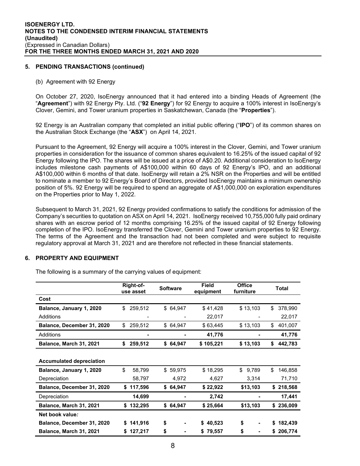## **5. PENDING TRANSACTIONS (continued)**

#### (b) Agreement with 92 Energy

On October 27, 2020, IsoEnergy announced that it had entered into a binding Heads of Agreement (the "**Agreement**") with 92 Energy Pty. Ltd. ("**92 Energy**") for 92 Energy to acquire a 100% interest in IsoEnergy's Clover, Gemini, and Tower uranium properties in Saskatchewan, Canada (the "**Properties**").

92 Energy is an Australian company that completed an initial public offering ("**IPO**") of its common shares on the Australian Stock Exchange (the "**ASX**") on April 14, 2021.

Pursuant to the Agreement, 92 Energy will acquire a 100% interest in the Clover, Gemini, and Tower uranium properties in consideration for the issuance of common shares equivalent to 16.25% of the issued capital of 92 Energy following the IPO. The shares will be issued at a price of A\$0.20. Additional consideration to IsoEnergy includes milestone cash payments of A\$100,000 within 60 days of 92 Energy's IPO, and an additional A\$100,000 within 6 months of that date. IsoEnergy will retain a 2% NSR on the Properties and will be entitled to nominate a member to 92 Energy's Board of Directors, provided IsoEnergy maintains a minimum ownership position of 5%. 92 Energy will be required to spend an aggregate of A\$1,000,000 on exploration expenditures on the Properties prior to May 1, 2022.

Subsequent to March 31, 2021, 92 Energy provided confirmations to satisfy the conditions for admission of the Company's securities to quotation on ASX on April 14, 2021. IsoEnergy received 10,755,000 fully paid ordinary shares with an escrow period of 12 months comprising 16.25% of the issued capital of 92 Energy following completion of the IPO. IsoEnergy transferred the Clover, Gemini and Tower uranium properties to 92 Energy. The terms of the Agreement and the transaction had not been completed and were subject to requisite regulatory approval at March 31, 2021 and are therefore not reflected in these financial statements.

#### **6. PROPERTY AND EQUIPMENT**

|                                 | Right-of-<br>use asset | <b>Software</b> | Field<br>equipment | <b>Office</b><br>furniture | <b>Total</b>  |
|---------------------------------|------------------------|-----------------|--------------------|----------------------------|---------------|
| Cost                            |                        |                 |                    |                            |               |
| Balance, January 1, 2020        | 259,512<br>\$          | \$64,947        | \$41,428           | \$13,103                   | 378,990<br>\$ |
| Additions                       |                        |                 | 22,017             |                            | 22,017        |
| Balance, December 31, 2020      | \$<br>259,512          | \$64,947        | \$63,445           | \$13,103                   | \$<br>401,007 |
| Additions                       |                        |                 | 41,776             |                            | 41,776        |
| Balance, March 31, 2021         | 259,512<br>\$          | \$64,947        | \$105,221          | \$13,103                   | \$<br>442,783 |
|                                 |                        |                 |                    |                            |               |
| <b>Accumulated depreciation</b> |                        |                 |                    |                            |               |
| Balance, January 1, 2020        | \$<br>58,799           | \$59,975        | \$18,295           | \$<br>9,789                | \$<br>146,858 |
| Depreciation                    | 58,797                 | 4,972           | 4,627              | 3,314                      | 71,710        |
| Balance, December 31, 2020      | 117,596<br>\$          | \$64,947        | \$22,922           | \$13,103                   | 218,568<br>\$ |
| Depreciation                    | 14,699                 |                 | 2,742              |                            | 17,441        |
| Balance, March 31, 2021         | \$<br>132,295          | \$64,947        | \$25,664           | \$13,103                   | 236,009<br>\$ |
| Net book value:                 |                        |                 |                    |                            |               |
| Balance, December 31, 2020      | 141,916<br>\$          | \$              | 40,523<br>S.       | \$                         | 182,439<br>S. |
| Balance, March 31, 2021         | 127,217                | \$              | \$79,557           | \$                         | 206,774<br>S. |

The following is a summary of the carrying values of equipment: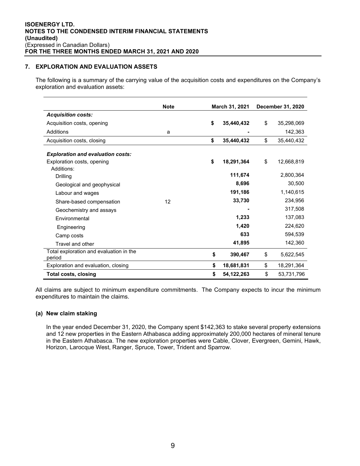## **7. EXPLORATION AND EVALUATION ASSETS**

The following is a summary of the carrying value of the acquisition costs and expenditures on the Company's exploration and evaluation assets:

|                                                                        | <b>Note</b> | March 31, 2021 |              | <b>December 31, 2020</b> |            |
|------------------------------------------------------------------------|-------------|----------------|--------------|--------------------------|------------|
| <b>Acquisition costs:</b>                                              |             |                |              |                          |            |
| Acquisition costs, opening                                             |             | \$             | 35,440,432   | \$                       | 35,298,069 |
| Additions                                                              | a           |                |              |                          | 142,363    |
| Acquisition costs, closing                                             |             | \$             | 35,440,432   | \$                       | 35,440,432 |
| <b>Exploration and evaluation costs:</b><br>Exploration costs, opening |             | \$             | 18,291,364   | \$                       | 12,668,819 |
| Additions:<br>Drilling                                                 |             |                | 111,674      |                          | 2,800,364  |
| Geological and geophysical                                             |             |                | 8,696        |                          | 30,500     |
| Labour and wages                                                       |             |                | 191,186      |                          | 1,140,615  |
| Share-based compensation                                               | 12          |                | 33,730       |                          | 234,956    |
| Geochemistry and assays                                                |             |                |              |                          | 317,508    |
| Environmental                                                          |             |                | 1,233        |                          | 137,083    |
| Engineering                                                            |             |                | 1,420        |                          | 224,620    |
| Camp costs                                                             |             |                | 633          |                          | 594,539    |
| Travel and other                                                       |             |                | 41,895       |                          | 142,360    |
| Total exploration and evaluation in the<br>period                      |             | \$             | 390,467      | \$                       | 5,622,545  |
| Exploration and evaluation, closing                                    |             | \$             | 18,681,831   | \$                       | 18,291,364 |
| Total costs, closing                                                   |             | \$             | 54, 122, 263 | \$                       | 53,731,796 |

All claims are subject to minimum expenditure commitments. The Company expects to incur the minimum expenditures to maintain the claims.

#### **(a) New claim staking**

In the year ended December 31, 2020, the Company spent \$142,363 to stake several property extensions and 12 new properties in the Eastern Athabasca adding approximately 200,000 hectares of mineral tenure in the Eastern Athabasca. The new exploration properties were Cable, Clover, Evergreen, Gemini, Hawk, Horizon, Larocque West, Ranger, Spruce, Tower, Trident and Sparrow.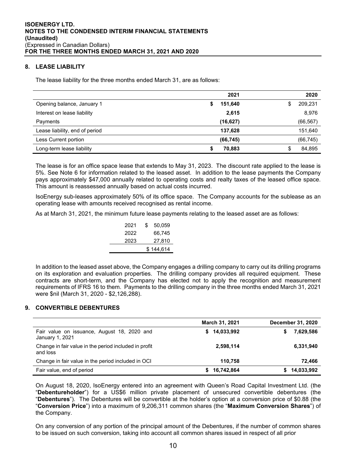## **8. LEASE LIABILITY**

The lease liability for the three months ended March 31, are as follows:

|                                | 2021          | 2020          |
|--------------------------------|---------------|---------------|
| Opening balance, January 1     | 151,640<br>\$ | 209,231<br>\$ |
| Interest on lease liability    | 2,615         | 8,976         |
| Payments                       | (16, 627)     | (66, 567)     |
| Lease liability, end of period | 137,628       | 151,640       |
| Less Current portion           | (66, 745)     | (66, 745)     |
| Long-term lease liability      | 70,883<br>S   | 84,895<br>\$  |

The lease is for an office space lease that extends to May 31, 2023. The discount rate applied to the lease is 5%. See Note 6 for information related to the leased asset. In addition to the lease payments the Company pays approximately \$47,000 annually related to operating costs and realty taxes of the leased office space. This amount is reassessed annually based on actual costs incurred.

IsoEnergy sub-leases approximately 50% of its office space. The Company accounts for the sublease as an operating lease with amounts received recognised as rental income.

As at March 31, 2021, the minimum future lease payments relating to the leased asset are as follows:

| 2021 | S | 50.059    |
|------|---|-----------|
| 2022 |   | 66,745    |
| 2023 |   | 27,810    |
|      |   | \$144,614 |
|      |   |           |

In addition to the leased asset above, the Company engages a drilling company to carry out its drilling programs on its exploration and evaluation properties. The drilling company provides all required equipment. These contracts are short-term, and the Company has elected not to apply the recognition and measurement requirements of IFRS 16 to them. Payments to the drilling company in the three months ended March 31, 2021 were \$nil (March 31, 2020 - \$2,126,288).

## **9. CONVERTIBLE DEBENTURES**

|                                                                   | March 31, 2021 | December 31, 2020 |
|-------------------------------------------------------------------|----------------|-------------------|
| Fair value on issuance, August 18, 2020 and<br>January 1, 2021    | \$14,033,992   | 7,629,586         |
| Change in fair value in the period included in profit<br>and loss | 2,598,114      | 6,331,940         |
| Change in fair value in the period included in OCI                | 110.758        | 72.466            |
| Fair value, end of period                                         | 16,742,864     | \$14,033,992      |

On August 18, 2020, IsoEnergy entered into an agreement with Queen's Road Capital Investment Ltd. (the "**Debentureholder**") for a US\$6 million private placement of unsecured convertible debentures (the "**Debentures**"). The Debentures will be convertible at the holder's option at a conversion price of \$0.88 (the "**Conversion Price**") into a maximum of 9,206,311 common shares (the "**Maximum Conversion Shares**") of the Company.

On any conversion of any portion of the principal amount of the Debentures, if the number of common shares to be issued on such conversion, taking into account all common shares issued in respect of all prior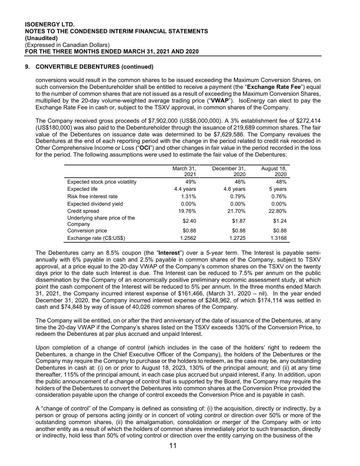## **9. CONVERTIBLE DEBENTURES (continued)**

conversions would result in the common shares to be issued exceeding the Maximum Conversion Shares, on such conversion the Debentureholder shall be entitled to receive a payment (the "**Exchange Rate Fee**") equal to the number of common shares that are not issued as a result of exceeding the Maximum Conversion Shares, multiplied by the 20-day volume-weighted average trading price ("**VWAP**"). IsoEnergy can elect to pay the Exchange Rate Fee in cash or, subject to the TSXV approval, in common shares of the Company.

The Company received gross proceeds of \$7,902,000 (US\$6,000,000). A 3% establishment fee of \$272,414 (US\$180,000) was also paid to the Debentureholder through the issuance of 219,689 common shares. The fair value of the Debentures on issuance date was determined to be \$7,629,586. The Company revalues the Debentures at the end of each reporting period with the change in the period related to credit risk recorded in Other Comprehensive Income or Loss ("**OCI**") and other changes in fair value in the period recorded in the loss for the period. The following assumptions were used to estimate the fair value of the Debentures:

|                                          | March 31,<br>2021 | December 31.<br>2020 | August 18,<br>2020 |
|------------------------------------------|-------------------|----------------------|--------------------|
| Expected stock price volatility          | 49%               | 46%                  | 48%                |
| <b>Expected life</b>                     | 4.4 years         | 4.6 years            | 5 years            |
| Risk free interest rate                  | 1.31%             | 0.79%                | 0.76%              |
| Expected dividend yield                  | $0.00\%$          | $0.00\%$             | $0.00\%$           |
| Credit spread                            | 19.76%            | 21.70%               | 22.80%             |
| Underlying share price of the<br>Company | \$2.40            | \$1.87               | \$1.24             |
| Conversion price                         | \$0.88            | \$0.88               | \$0.88             |
| Exchange rate (C\$:US\$)                 | 1.2562            | 1.2725               | 1.3168             |

The Debentures carry an 8.5% coupon (the "**Interest**") over a 5-year term. The Interest is payable semiannually with 6% payable in cash and 2.5% payable in common shares of the Company, subject to TSXV approval, at a price equal to the 20-day VWAP of the Company's common shares on the TSXV on the twenty days prior to the date such Interest is due. The Interest can be reduced to 7.5% per annum on the public dissemination by the Company of an economically positive preliminary economic assessment study, at which point the cash component of the Interest will be reduced to 5% per annum. In the three months ended March 31, 2021, the Company incurred interest expense of \$161,466, (March 31, 2020 – nil). In the year ended December 31, 2020, the Company incurred interest expense of \$248,962, of which \$174,114 was settled in cash and \$74,848 by way of issue of 40,026 common shares of the Company.

The Company will be entitled, on or after the third anniversary of the date of issuance of the Debentures, at any time the 20-day VWAP if the Company's shares listed on the TSXV exceeds 130% of the Conversion Price, to redeem the Debentures at par plus accrued and unpaid Interest.

Upon completion of a change of control (which includes in the case of the holders' right to redeem the Debentures, a change in the Chief Executive Officer of the Company), the holders of the Debentures or the Company may require the Company to purchase or the holders to redeem, as the case may be, any outstanding Debentures in cash at: (i) on or prior to August 18, 2023, 130% of the principal amount; and (ii) at any time thereafter, 115% of the principal amount, in each case plus accrued but unpaid interest, if any. In addition, upon the public announcement of a change of control that is supported by the Board, the Company may require the holders of the Debentures to convert the Debentures into common shares at the Conversion Price provided the consideration payable upon the change of control exceeds the Conversion Price and is payable in cash.

A "change of control" of the Company is defined as consisting of: (i) the acquisition, directly or indirectly, by a person or group of persons acting jointly or in concert of voting control or direction over 50% or more of the outstanding common shares, (ii) the amalgamation, consolidation or merger of the Company with or into another entity as a result of which the holders of common shares immediately prior to such transaction, directly or indirectly, hold less than 50% of voting control or direction over the entity carrying on the business of the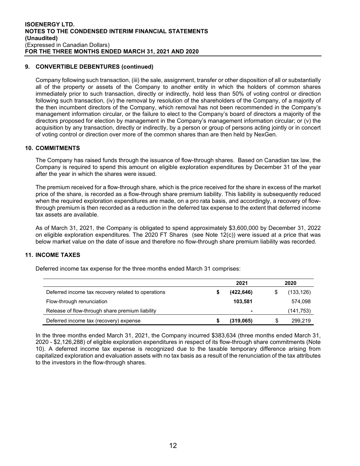## **9. CONVERTIBLE DEBENTURES (continued)**

Company following such transaction, (iii) the sale, assignment, transfer or other disposition of all or substantially all of the property or assets of the Company to another entity in which the holders of common shares immediately prior to such transaction, directly or indirectly, hold less than 50% of voting control or direction following such transaction, (iv) the removal by resolution of the shareholders of the Company, of a majority of the then incumbent directors of the Company, which removal has not been recommended in the Company's management information circular, or the failure to elect to the Company's board of directors a majority of the directors proposed for election by management in the Company's management information circular; or (v) the acquisition by any transaction, directly or indirectly, by a person or group of persons acting jointly or in concert of voting control or direction over more of the common shares than are then held by NexGen.

#### **10. COMMITMENTS**

The Company has raised funds through the issuance of flow-through shares. Based on Canadian tax law, the Company is required to spend this amount on eligible exploration expenditures by December 31 of the year after the year in which the shares were issued.

The premium received for a flow-through share, which is the price received for the share in excess of the market price of the share, is recorded as a flow-through share premium liability. This liability is subsequently reduced when the required exploration expenditures are made, on a pro rata basis, and accordingly, a recovery of flowthrough premium is then recorded as a reduction in the deferred tax expense to the extent that deferred income tax assets are available.

As of March 31, 2021, the Company is obligated to spend approximately \$3,600,000 by December 31, 2022 on eligible exploration expenditures. The 2020 FT Shares (see Note 12(c)) were issued at a price that was below market value on the date of issue and therefore no flow-through share premium liability was recorded.

#### **11. INCOME TAXES**

Deferred income tax expense for the three months ended March 31 comprises:

|                                                    | 2021       |   | 2020      |
|----------------------------------------------------|------------|---|-----------|
| Deferred income tax recovery related to operations | (422, 646) |   | (133,126) |
| Flow-through renunciation                          | 103.581    |   | 574,098   |
| Release of flow-through share premium liability    |            |   | (141,753) |
| Deferred income tax (recovery) expense             | (319,065)  | S | 299,219   |

In the three months ended March 31, 2021, the Company incurred \$383,634 (three months ended March 31, 2020 - \$2,126,288) of eligible exploration expenditures in respect of its flow-through share commitments (Note 10). A deferred income tax expense is recognized due to the taxable temporary difference arising from capitalized exploration and evaluation assets with no tax basis as a result of the renunciation of the tax attributes to the investors in the flow-through shares.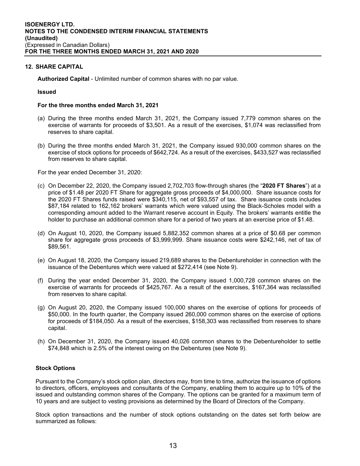## **12. SHARE CAPITAL**

**Authorized Capital** - Unlimited number of common shares with no par value.

#### **Issued**

#### **For the three months ended March 31, 2021**

- (a) During the three months ended March 31, 2021, the Company issued 7,779 common shares on the exercise of warrants for proceeds of \$3,501. As a result of the exercises, \$1,074 was reclassified from reserves to share capital.
- (b) During the three months ended March 31, 2021, the Company issued 930,000 common shares on the exercise of stock options for proceeds of \$642,724. As a result of the exercises, \$433,527 was reclassified from reserves to share capital.

For the year ended December 31, 2020:

- (c) On December 22, 2020, the Company issued 2,702,703 flow-through shares (the "**2020 FT Shares**") at a price of \$1.48 per 2020 FT Share for aggregate gross proceeds of \$4,000,000. Share issuance costs for the 2020 FT Shares funds raised were \$340,115, net of \$93,557 of tax. Share issuance costs includes \$87,184 related to 162,162 brokers' warrants which were valued using the Black-Scholes model with a corresponding amount added to the Warrant reserve account in Equity. The brokers' warrants entitle the holder to purchase an additional common share for a period of two years at an exercise price of \$1.48.
- (d) On August 10, 2020, the Company issued 5,882,352 common shares at a price of \$0.68 per common share for aggregate gross proceeds of \$3,999,999. Share issuance costs were \$242,146, net of tax of \$89,561.
- (e) On August 18, 2020, the Company issued 219,689 shares to the Debentureholder in connection with the issuance of the Debentures which were valued at \$272,414 (see Note 9).
- (f) During the year ended December 31, 2020, the Company issued 1,000,728 common shares on the exercise of warrants for proceeds of \$425,767. As a result of the exercises, \$167,364 was reclassified from reserves to share capital.
- (g) On August 20, 2020, the Company issued 100,000 shares on the exercise of options for proceeds of \$50,000. In the fourth quarter, the Company issued 260,000 common shares on the exercise of options for proceeds of \$184,050. As a result of the exercises, \$158,303 was reclassified from reserves to share capital.
- (h) On December 31, 2020, the Company issued 40,026 common shares to the Debentureholder to settle \$74,848 which is 2.5% of the interest owing on the Debentures (see Note 9).

#### **Stock Options**

Pursuant to the Company's stock option plan, directors may, from time to time, authorize the issuance of options to directors, officers, employees and consultants of the Company, enabling them to acquire up to 10% of the issued and outstanding common shares of the Company. The options can be granted for a maximum term of 10 years and are subject to vesting provisions as determined by the Board of Directors of the Company.

Stock option transactions and the number of stock options outstanding on the dates set forth below are summarized as follows: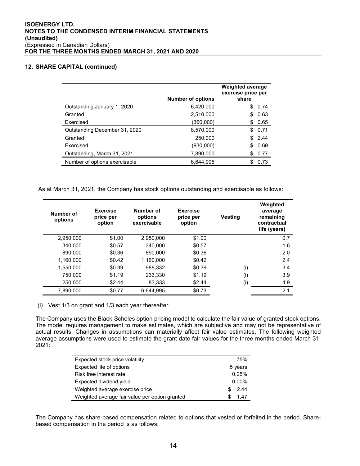## **12. SHARE CAPITAL (continued)**

|                               | <b>Number of options</b> | <b>Weighted average</b><br>exercise price per<br>share |  |
|-------------------------------|--------------------------|--------------------------------------------------------|--|
| Outstanding January 1, 2020   | 6,420,000                | 0.74<br>\$                                             |  |
| Granted                       | 2,510,000                | 0.63<br>\$.                                            |  |
| Exercised                     | (360,000)                | 0.65<br>S                                              |  |
| Outstanding December 31, 2020 | 8,570,000                | 0.71<br>\$.                                            |  |
| Granted                       | 250,000                  | 2.44<br>\$.                                            |  |
| Exercised                     | (930,000)                | 0.69                                                   |  |
| Outstanding, March 31, 2021   | 7,890,000                | 0.77<br>S                                              |  |
| Number of options exercisable | 6,644,995                | 0.73                                                   |  |

As at March 31, 2021, the Company has stock options outstanding and exercisable as follows:

| Number of<br>options | <b>Exercise</b><br>price per<br>option | Number of<br><b>Exercise</b><br><b>Vesting</b><br>options<br>price per<br>exercisable<br>option |        |     | Weighted<br>average<br>remaining<br>contractual<br>life (years) |
|----------------------|----------------------------------------|-------------------------------------------------------------------------------------------------|--------|-----|-----------------------------------------------------------------|
| 2,950,000            | \$1.00                                 | 2,950,000                                                                                       | \$1.00 |     | 0.7                                                             |
| 340.000              | \$0.57                                 | 340.000                                                                                         | \$0.57 |     | 1.6                                                             |
| 890,000              | \$0.36                                 | 890,000                                                                                         | \$0.36 |     | 2.0                                                             |
| 1.160.000            | \$0.42                                 | 1.160.000                                                                                       | \$0.42 |     | 2.4                                                             |
| 1,550,000            | \$0.39                                 | 988,332                                                                                         | \$0.39 | (i) | 3.4                                                             |
| 750.000              | \$1.19                                 | 233.330                                                                                         | \$1.19 | (i) | 3.9                                                             |
| 250,000              | \$2.44                                 | 83,333                                                                                          | \$2.44 | (i) | 4.9                                                             |
| 7.890.000            | \$0.77                                 | 6.644.995                                                                                       | \$0.73 |     | 2.1                                                             |

(i) Vest 1/3 on grant and 1/3 each year thereafter

The Company uses the Black-Scholes option pricing model to calculate the fair value of granted stock options. The model requires management to make estimates, which are subjective and may not be representative of actual results. Changes in assumptions can materially affect fair value estimates. The following weighted average assumptions were used to estimate the grant date fair values for the three months ended March 31, 2021:

| Expected stock price volatility                | 75%      |  |
|------------------------------------------------|----------|--|
| Expected life of options                       | 5 years  |  |
| Risk free interest rate                        | 0.25%    |  |
| Expected dividend yield                        | $0.00\%$ |  |
| Weighted average exercise price                | 2.44     |  |
| Weighted average fair value per option granted | 1.47     |  |

The Company has share-based compensation related to options that vested or forfeited in the period. Sharebased compensation in the period is as follows: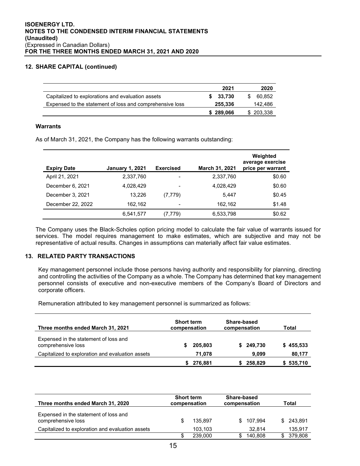## **12. SHARE CAPITAL (continued)**

|                                                          | 2021               | 2020          |
|----------------------------------------------------------|--------------------|---------------|
| Capitalized to explorations and evaluation assets        | 33.730             | 60.852<br>SS. |
| Expensed to the statement of loss and comprehensive loss | 255.336<br>142,486 |               |
|                                                          | \$289,066          | \$203,338     |

## **Warrants**

As of March 31, 2021, the Company has the following warrants outstanding:

| <b>Expiry Date</b> | <b>January 1, 2021</b> | <b>Exercised</b>         | March 31, 2021 | Weighted<br>average exercise<br>price per warrant |
|--------------------|------------------------|--------------------------|----------------|---------------------------------------------------|
| April 21, 2021     | 2,337,760              |                          | 2,337,760      | \$0.60                                            |
| December 6, 2021   | 4,028,429              | $\overline{\phantom{0}}$ | 4,028,429      | \$0.60                                            |
| December 3, 2021   | 13.226                 | (7, 779)                 | 5.447          | \$0.45                                            |
| December 22, 2022  | 162,162                | $\overline{\phantom{0}}$ | 162,162        | \$1.48                                            |
|                    | 6,541,577              | (7, 779)                 | 6,533,798      | \$0.62                                            |

The Company uses the Black-Scholes option pricing model to calculate the fair value of warrants issued for services. The model requires management to make estimates, which are subjective and may not be representative of actual results. Changes in assumptions can materially affect fair value estimates.

## **13. RELATED PARTY TRANSACTIONS**

Key management personnel include those persons having authority and responsibility for planning, directing and controlling the activities of the Company as a whole. The Company has determined that key management personnel consists of executive and non-executive members of the Company's Board of Directors and corporate officers.

Remuneration attributed to key management personnel is summarized as follows:

| Three months ended March 31, 2021                           | <b>Short term</b><br>compensation | Share-based<br>compensation | Total     |  |
|-------------------------------------------------------------|-----------------------------------|-----------------------------|-----------|--|
| Expensed in the statement of loss and<br>comprehensive loss | 205,803                           | \$249,730                   | \$455,533 |  |
| Capitalized to exploration and evaluation assets            | 71.078                            | 9,099                       | 80,177    |  |
|                                                             | 276,881                           | 258,829                     | 535,710   |  |

| Three months ended March 31, 2020                           | <b>Short term</b><br>compensation |         | Share-based<br>compensation |         | Total |         |
|-------------------------------------------------------------|-----------------------------------|---------|-----------------------------|---------|-------|---------|
| Expensed in the statement of loss and<br>comprehensive loss |                                   | 135.897 | \$.                         | 107.994 | SS.   | 243.891 |
| Capitalized to exploration and evaluation assets            |                                   | 103,103 |                             | 32.814  |       | 135,917 |
|                                                             |                                   | 239.000 |                             | 140.808 |       | 379,808 |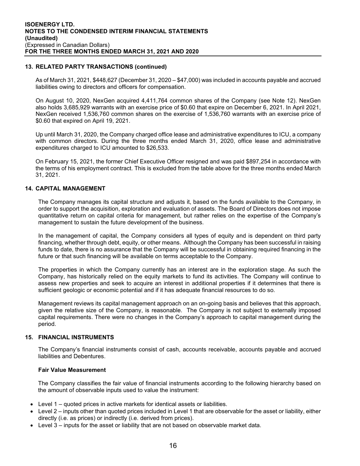## **13. RELATED PARTY TRANSACTIONS (continued)**

As of March 31, 2021, \$448,627 (December 31, 2020 – \$47,000) was included in accounts payable and accrued liabilities owing to directors and officers for compensation.

On August 10, 2020, NexGen acquired 4,411,764 common shares of the Company (see Note 12). NexGen also holds 3,685,929 warrants with an exercise price of \$0.60 that expire on December 6, 2021. In April 2021, NexGen received 1,536,760 common shares on the exercise of 1,536,760 warrants with an exercise price of \$0.60 that expired on April 19, 2021.

Up until March 31, 2020, the Company charged office lease and administrative expenditures to ICU, a company with common directors. During the three months ended March 31, 2020, office lease and administrative expenditures charged to ICU amounted to \$26,533.

On February 15, 2021, the former Chief Executive Officer resigned and was paid \$897,254 in accordance with the terms of his employment contract. This is excluded from the table above for the three months ended March 31, 2021.

## **14. CAPITAL MANAGEMENT**

The Company manages its capital structure and adjusts it, based on the funds available to the Company, in order to support the acquisition, exploration and evaluation of assets. The Board of Directors does not impose quantitative return on capital criteria for management, but rather relies on the expertise of the Company's management to sustain the future development of the business.

In the management of capital, the Company considers all types of equity and is dependent on third party financing, whether through debt, equity, or other means. Although the Company has been successful in raising funds to date, there is no assurance that the Company will be successful in obtaining required financing in the future or that such financing will be available on terms acceptable to the Company.

The properties in which the Company currently has an interest are in the exploration stage. As such the Company, has historically relied on the equity markets to fund its activities. The Company will continue to assess new properties and seek to acquire an interest in additional properties if it determines that there is sufficient geologic or economic potential and if it has adequate financial resources to do so.

Management reviews its capital management approach on an on-going basis and believes that this approach, given the relative size of the Company, is reasonable. The Company is not subject to externally imposed capital requirements. There were no changes in the Company's approach to capital management during the period.

#### **15. FINANCIAL INSTRUMENTS**

The Company's financial instruments consist of cash, accounts receivable, accounts payable and accrued liabilities and Debentures.

#### **Fair Value Measurement**

The Company classifies the fair value of financial instruments according to the following hierarchy based on the amount of observable inputs used to value the instrument:

- Level 1 quoted prices in active markets for identical assets or liabilities.
- Level 2 inputs other than quoted prices included in Level 1 that are observable for the asset or liability, either directly (i.e. as prices) or indirectly (i.e. derived from prices).
- Level 3 inputs for the asset or liability that are not based on observable market data.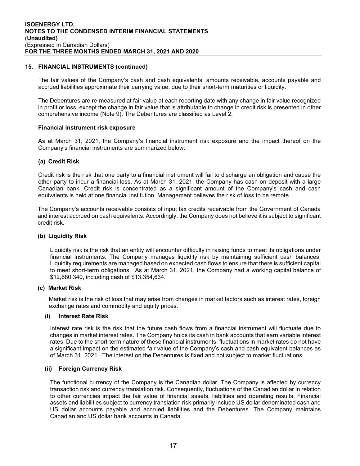## **15. FINANCIAL INSTRUMENTS (continued)**

The fair values of the Company's cash and cash equivalents, amounts receivable, accounts payable and accrued liabilities approximate their carrying value, due to their short-term maturities or liquidity.

The Debentures are re-measured at fair value at each reporting date with any change in fair value recognized in profit or loss, except the change in fair value that is attributable to change in credit risk is presented in other comprehensive income (Note 9). The Debentures are classified as Level 2.

#### **Financial instrument risk exposure**

As at March 31, 2021, the Company's financial instrument risk exposure and the impact thereof on the Company's financial instruments are summarized below:

## **(a) Credit Risk**

Credit risk is the risk that one party to a financial instrument will fail to discharge an obligation and cause the other party to incur a financial loss. As at March 31, 2021, the Company has cash on deposit with a large Canadian bank. Credit risk is concentrated as a significant amount of the Company's cash and cash equivalents is held at one financial institution. Management believes the risk of loss to be remote.

The Company's accounts receivable consists of input tax credits receivable from the Government of Canada and interest accrued on cash equivalents. Accordingly, the Company does not believe it is subject to significant credit risk.

## **(b) Liquidity Risk**

Liquidity risk is the risk that an entity will encounter difficulty in raising funds to meet its obligations under financial instruments. The Company manages liquidity risk by maintaining sufficient cash balances. Liquidity requirements are managed based on expected cash flows to ensure that there is sufficient capital to meet short-term obligations. As at March 31, 2021, the Company had a working capital balance of \$12,680,340, including cash of \$13,354,634.

#### **(c) Market Risk**

Market risk is the risk of loss that may arise from changes in market factors such as interest rates, foreign exchange rates and commodity and equity prices.

#### **(i) Interest Rate Risk**

Interest rate risk is the risk that the future cash flows from a financial instrument will fluctuate due to changes in market interest rates. The Company holds its cash in bank accounts that earn variable interest rates. Due to the short-term nature of these financial instruments, fluctuations in market rates do not have a significant impact on the estimated fair value of the Company's cash and cash equivalent balances as of March 31, 2021. The interest on the Debentures is fixed and not subject to market fluctuations.

## **(ii) Foreign Currency Risk**

The functional currency of the Company is the Canadian dollar. The Company is affected by currency transaction risk and currency translation risk. Consequently, fluctuations of the Canadian dollar in relation to other currencies impact the fair value of financial assets, liabilities and operating results. Financial assets and liabilities subject to currency translation risk primarily include US dollar denominated cash and US dollar accounts payable and accrued liabilities and the Debentures. The Company maintains Canadian and US dollar bank accounts in Canada.